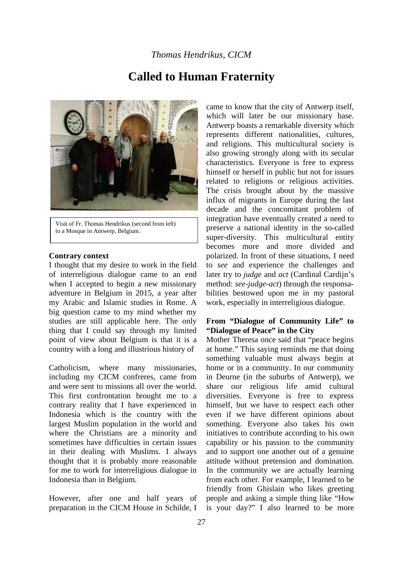# **Called to Human Fraternity**



Visit of Fr. Thomas Hendrikus (second from left) to a Mosque in Antwerp, Belgium.

#### **Contrary context**

I thought that my desire to work in the field of interreligious dialogue came to an end when I accepted to begin a new missionary adventure in Belgium in 2015, a year after my Arabic and Islamic studies in Rome. A big question came to my mind whether my studies are still applicable here. The only thing that I could say through my limited point of view about Belgium is that it is a country with a long and illustrious history of

Catholicism, where many missionaries, including my CICM confreres, came from and were sent to missions all over the world. This first confrontation brought me to a contrary reality that I have experienced in Indonesia which is the country with the largest Muslim population in the world and where the Christians are a minority and sometimes have difficulties in certain issues in their dealing with Muslims. I always thought that it is probably more reasonable for me to work for interreligious dialogue in Indonesia than in Belgium.

However, after one and half years of preparation in the CICM House in Schilde, I

came to know that the city of Antwerp itself, which will later be our missionary base. Antwerp boasts a remarkable diversity which represents different nationalities, cultures, and religions. This multicultural society is also growing strongly along with its secular characteristics. Everyone is free to express himself or herself in public but not for issues related to religions or religious activities. The crisis brought about by the massive influx of migrants in Europe during the last decade and the concomitant problem of integration have eventually created a need to preserve a national identity in the so-called super-diversity. This multicultural entity becomes more and more divided and polarized. In front of these situations, I need to *see* and experience the challenges and later try to *judge* and *act* (Cardinal Cardijn's method: *see-judge-act*) through the responsabilities bestowed upon me in my pastoral work, especially in interreligious dialogue.

### **From "Dialogue of Community Life" to "Dialogue of Peace" in the City**

Mother Theresa once said that "peace begins at home." This saying reminds me that doing something valuable must always begin at home or in a community. In our community in Deurne (in the suburbs of Antwerp), we share our religious life amid cultural diversities. Everyone is free to express himself, but we have to respect each other even if we have different opinions about something. Everyone also takes his own initiatives to contribute according to his own capability or his passion to the community and to support one another out of a genuine attitude without pretension and domination. In the community we are actually learning from each other. For example, I learned to be friendly from Ghislain who likes greeting people and asking a simple thing like "How is your day?" I also learned to be more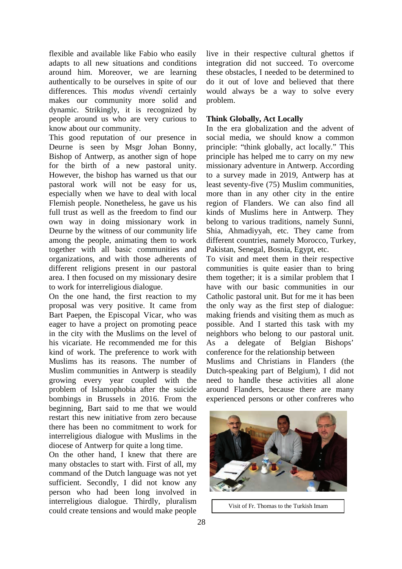flexible and available like Fabio who easily adapts to all new situations and conditions around him. Moreover, we are learning authentically to be ourselves in spite of our differences. This *modus vivendi* certainly makes our community more solid and dynamic. Strikingly, it is recognized by people around us who are very curious to know about our community.

This good reputation of our presence in Deurne is seen by Msgr Johan Bonny, Bishop of Antwerp, as another sign of hope for the birth of a new pastoral unity. However, the bishop has warned us that our pastoral work will not be easy for us, especially when we have to deal with local Flemish people. Nonetheless, he gave us his full trust as well as the freedom to find our own way in doing missionary work in Deurne by the witness of our community life among the people, animating them to work together with all basic communities and organizations, and with those adherents of different religions present in our pastoral area. I then focused on my missionary desire to work for interreligious dialogue.

On the one hand, the first reaction to my proposal was very positive. It came from Bart Paepen, the Episcopal Vicar, who was eager to have a project on promoting peace in the city with the Muslims on the level of his vicariate. He recommended me for this kind of work. The preference to work with Muslims has its reasons. The number of Muslim communities in Antwerp is steadily growing every year coupled with the problem of Islamophobia after the suicide bombings in Brussels in 2016. From the beginning, Bart said to me that we would restart this new initiative from zero because there has been no commitment to work for interreligious dialogue with Muslims in the diocese of Antwerp for quite a long time.

On the other hand, I knew that there are many obstacles to start with. First of all, my command of the Dutch language was not yet sufficient. Secondly, I did not know any person who had been long involved in interreligious dialogue. Thirdly, pluralism could create tensions and would make people

live in their respective cultural ghettos if integration did not succeed. To overcome these obstacles, I needed to be determined to do it out of love and believed that there would always be a way to solve every problem.

## **Think Globally, Act Locally**

In the era globalization and the advent of social media, we should know a common principle: "think globally, act locally." This principle has helped me to carry on my new missionary adventure in Antwerp. According to a survey made in 2019, Antwerp has at least seventy-five (75) Muslim communities, more than in any other city in the entire region of Flanders. We can also find all kinds of Muslims here in Antwerp. They belong to various traditions, namely Sunni, Shia, Ahmadiyyah, etc. They came from different countries, namely Morocco, Turkey, Pakistan, Senegal, Bosnia, Egypt, etc.

To visit and meet them in their respective communities is quite easier than to bring them together; it is a similar problem that I have with our basic communities in our Catholic pastoral unit. But for me it has been the only way as the first step of dialogue: making friends and visiting them as much as possible. And I started this task with my neighbors who belong to our pastoral unit. As a delegate of Belgian Bishops' conference for the relationship between

Muslims and Christians in Flanders (the Dutch-speaking part of Belgium), I did not need to handle these activities all alone around Flanders, because there are many experienced persons or other confreres who



Visit of Fr. Thomas to the Turkish Imam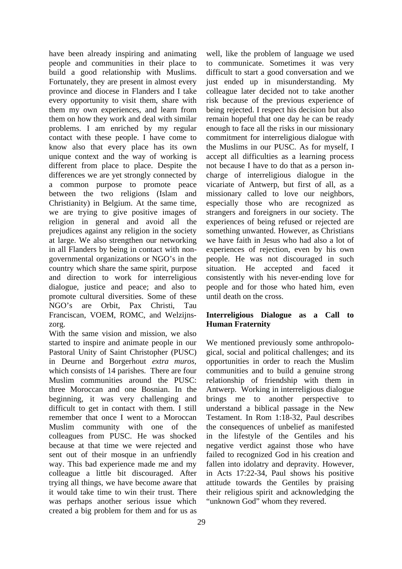have been already inspiring and animating people and communities in their place to build a good relationship with Muslims. Fortunately, they are present in almost every province and diocese in Flanders and I take every opportunity to visit them, share with them my own experiences, and learn from them on how they work and deal with similar problems. I am enriched by my regular contact with these people. I have come to know also that every place has its own unique context and the way of working is different from place to place. Despite the differences we are yet strongly connected by a common purpose to promote peace between the two religions (Islam and Christianity) in Belgium. At the same time, we are trying to give positive images of religion in general and avoid all the prejudices against any religion in the society at large. We also strengthen our networking in all Flanders by being in contact with nongovernmental organizations or NGO's in the country which share the same spirit, purpose and direction to work for interreligious dialogue, justice and peace; and also to promote cultural diversities. Some of these NGO's are Orbit, Pax Christi, Tau Franciscan, VOEM, ROMC, and Welzijnszorg.

With the same vision and mission, we also started to inspire and animate people in our Pastoral Unity of Saint Christopher (PUSC) in Deurne and Borgerhout *extra muros,* which consists of 14 parishes. There are four Muslim communities around the PUSC: three Moroccan and one Bosnian. In the beginning, it was very challenging and difficult to get in contact with them. I still remember that once I went to a Moroccan Muslim community with one of the colleagues from PUSC. He was shocked because at that time we were rejected and sent out of their mosque in an unfriendly way. This bad experience made me and my colleague a little bit discouraged. After trying all things, we have become aware that it would take time to win their trust. There was perhaps another serious issue which created a big problem for them and for us as

well, like the problem of language we used to communicate. Sometimes it was very difficult to start a good conversation and we just ended up in misunderstanding. My colleague later decided not to take another risk because of the previous experience of being rejected. I respect his decision but also remain hopeful that one day he can be ready enough to face all the risks in our missionary commitment for interreligious dialogue with the Muslims in our PUSC. As for myself, I accept all difficulties as a learning process not because I have to do that as a person incharge of interreligious dialogue in the vicariate of Antwerp, but first of all, as a missionary called to love our neighbors, especially those who are recognized as strangers and foreigners in our society. The experiences of being refused or rejected are something unwanted. However, as Christians we have faith in Jesus who had also a lot of experiences of rejection, even by his own people. He was not discouraged in such situation. He accepted and faced consistently with his never-ending love for people and for those who hated him, even until death on the cross.

### **Interreligious Dialogue as a Call to Human Fraternity**

We mentioned previously some anthropological, social and political challenges; and its opportunities in order to reach the Muslim communities and to build a genuine strong relationship of friendship with them in Antwerp. Working in interreligious dialogue brings me to another perspective to understand a biblical passage in the New Testament. In Rom 1:18-32, Paul describes the consequences of unbelief as manifested in the lifestyle of the Gentiles and his negative verdict against those who have failed to recognized God in his creation and fallen into idolatry and depravity. However, in Acts 17:22-34, Paul shows his positive attitude towards the Gentiles by praising their religious spirit and acknowledging the "unknown God" whom they revered.